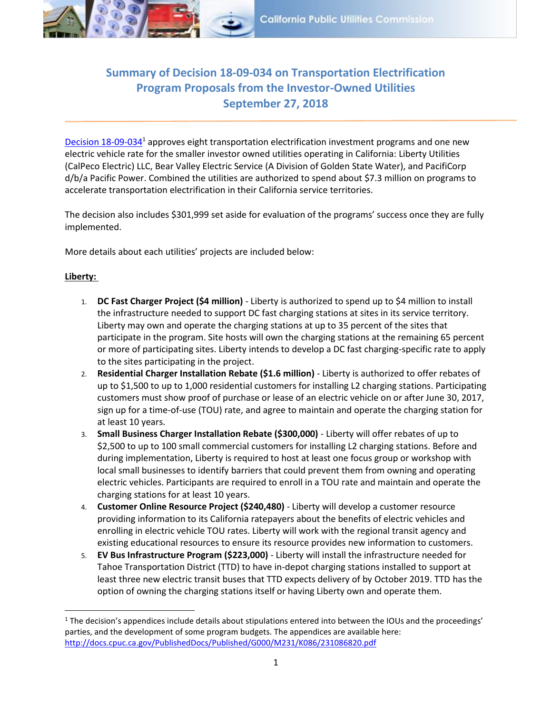

## **Summary of Decision 18-09-034 on Transportation Electrification Program Proposals from the Investor-Owned Utilities September 27, 2018**

[Decision 18-09-034](http://docs.cpuc.ca.gov/PublishedDocs/Published/G000/M231/K030/231030113.PDF)<sup>1</sup> approves eight transportation electrification investment programs and one new electric vehicle rate for the smaller investor owned utilities operating in California: Liberty Utilities (CalPeco Electric) LLC, Bear Valley Electric Service (A Division of Golden State Water), and PacifiCorp d/b/a Pacific Power. Combined the utilities are authorized to spend about \$7.3 million on programs to accelerate transportation electrification in their California service territories.

The decision also includes \$301,999 set aside for evaluation of the programs' success once they are fully implemented.

More details about each utilities' projects are included below:

## **Liberty:**

 $\overline{a}$ 

- 1. **DC Fast Charger Project (\$4 million)** Liberty is authorized to spend up to \$4 million to install the infrastructure needed to support DC fast charging stations at sites in its service territory. Liberty may own and operate the charging stations at up to 35 percent of the sites that participate in the program. Site hosts will own the charging stations at the remaining 65 percent or more of participating sites. Liberty intends to develop a DC fast charging-specific rate to apply to the sites participating in the project.
- 2. **Residential Charger Installation Rebate (\$1.6 million)** Liberty is authorized to offer rebates of up to \$1,500 to up to 1,000 residential customers for installing L2 charging stations. Participating customers must show proof of purchase or lease of an electric vehicle on or after June 30, 2017, sign up for a time-of-use (TOU) rate, and agree to maintain and operate the charging station for at least 10 years.
- 3. **Small Business Charger Installation Rebate (\$300,000)** Liberty will offer rebates of up to \$2,500 to up to 100 small commercial customers for installing L2 charging stations. Before and during implementation, Liberty is required to host at least one focus group or workshop with local small businesses to identify barriers that could prevent them from owning and operating electric vehicles. Participants are required to enroll in a TOU rate and maintain and operate the charging stations for at least 10 years.
- 4. **Customer Online Resource Project (\$240,480)** Liberty will develop a customer resource providing information to its California ratepayers about the benefits of electric vehicles and enrolling in electric vehicle TOU rates. Liberty will work with the regional transit agency and existing educational resources to ensure its resource provides new information to customers.
- 5. **EV Bus Infrastructure Program (\$223,000)** Liberty will install the infrastructure needed for Tahoe Transportation District (TTD) to have in-depot charging stations installed to support at least three new electric transit buses that TTD expects delivery of by October 2019. TTD has the option of owning the charging stations itself or having Liberty own and operate them.

 $1$  The decision's appendices include details about stipulations entered into between the IOUs and the proceedings' parties, and the development of some program budgets. The appendices are available here: <http://docs.cpuc.ca.gov/PublishedDocs/Published/G000/M231/K086/231086820.pdf>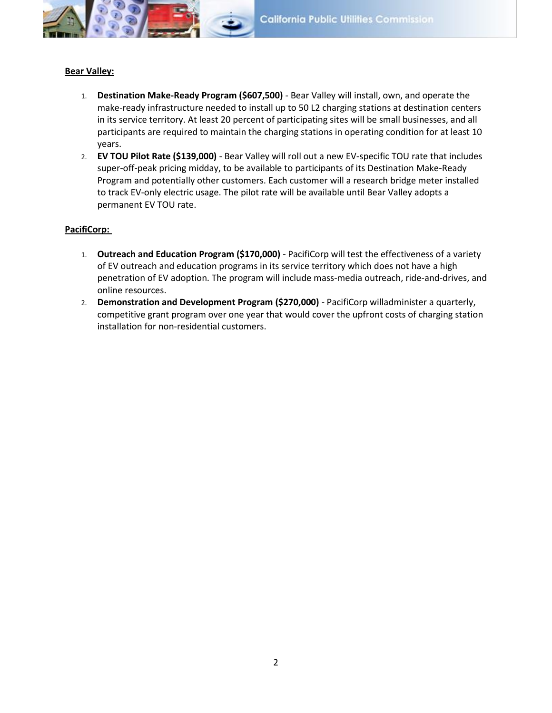

## **Bear Valley:**

- 1. **Destination Make-Ready Program (\$607,500)** Bear Valley will install, own, and operate the make-ready infrastructure needed to install up to 50 L2 charging stations at destination centers in its service territory. At least 20 percent of participating sites will be small businesses, and all participants are required to maintain the charging stations in operating condition for at least 10 years.
- 2. **EV TOU Pilot Rate (\$139,000)** Bear Valley will roll out a new EV-specific TOU rate that includes super-off-peak pricing midday, to be available to participants of its Destination Make-Ready Program and potentially other customers. Each customer will a research bridge meter installed to track EV-only electric usage. The pilot rate will be available until Bear Valley adopts a permanent EV TOU rate.

## **PacifiCorp:**

- 1. **Outreach and Education Program (\$170,000)** PacifiCorp will test the effectiveness of a variety of EV outreach and education programs in its service territory which does not have a high penetration of EV adoption. The program will include mass-media outreach, ride-and-drives, and online resources.
- 2. **Demonstration and Development Program (\$270,000)** PacifiCorp willadminister a quarterly, competitive grant program over one year that would cover the upfront costs of charging station installation for non-residential customers.